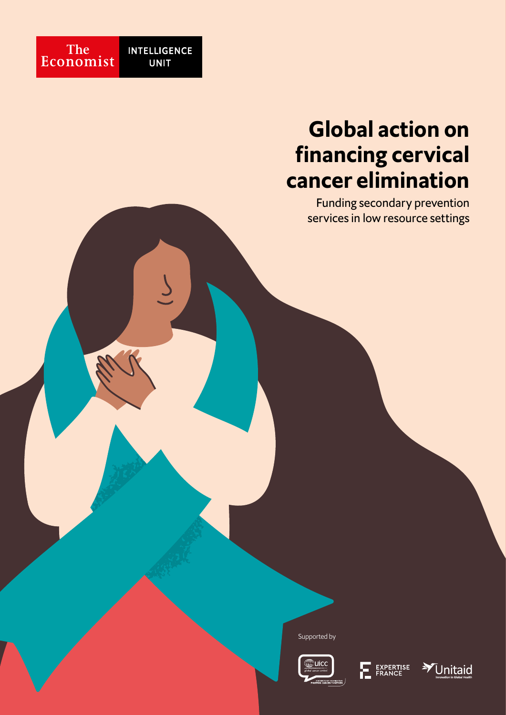

# **Global action on financing cervical cancer elimination**

Funding secondary prevention services in low resource settings

Supported by





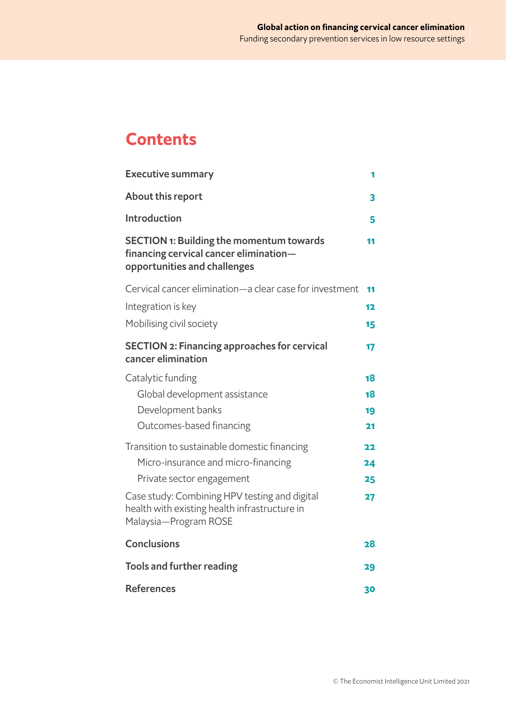## **Contents**

| <b>Executive summary</b>                                                                                                  | 1  |
|---------------------------------------------------------------------------------------------------------------------------|----|
| <b>About this report</b>                                                                                                  | 3  |
| <b>Introduction</b>                                                                                                       | 5  |
| <b>SECTION 1: Building the momentum towards</b><br>financing cervical cancer elimination-<br>opportunities and challenges | 11 |
| Cervical cancer elimination-a clear case for investment                                                                   | 11 |
| Integration is key                                                                                                        | 12 |
| Mobilising civil society                                                                                                  | 15 |
| <b>SECTION 2: Financing approaches for cervical</b><br>cancer elimination                                                 | 17 |
| Catalytic funding                                                                                                         | 18 |
| Global development assistance                                                                                             | 18 |
| Development banks                                                                                                         | 19 |
| Outcomes-based financing                                                                                                  | 21 |
| Transition to sustainable domestic financing                                                                              | 22 |
| Micro-insurance and micro-financing                                                                                       | 24 |
| Private sector engagement                                                                                                 | 25 |
| Case study: Combining HPV testing and digital<br>health with existing health infrastructure in<br>Malaysia-Program ROSE   | 27 |
| <b>Conclusions</b>                                                                                                        | 28 |
| <b>Tools and further reading</b>                                                                                          | 29 |
| <b>References</b>                                                                                                         | 30 |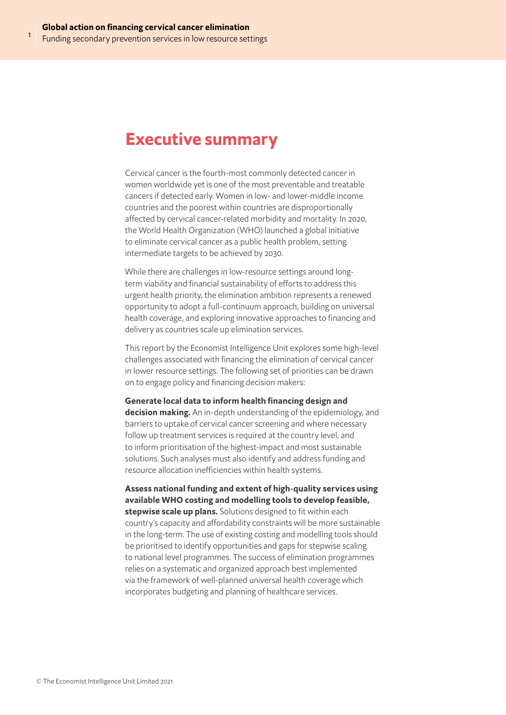## **Executive summary**

Cervical cancer is the fourth-most commonly detected cancer in women worldwide yet is one of the most preventable and treatable cancers if detected early. Women in low- and lower-middle income countries and the poorest within countries are disproportionally afected by cervical cancer-related morbidity and mortality. In 2020, the World Health Organization (WHO) launched a global initiative to eliminate cervical cancer as a public health problem, setting intermediate targets to be achieved by 2030.

While there are challenges in low-resource settings around longterm viability and financial sustainability of efforts to address this urgent health priority, the elimination ambition represents a renewed opportunity to adopt a full-continuum approach, building on universal health coverage, and exploring innovative approaches to financing and delivery as countries scale up elimination services.

This report by the Economist Intelligence Unit explores some high-level challenges associated with financing the elimination of cervical cancer in lower resource settings. The following set of priorities can be drawn on to engage policy and financing decision makers:

#### **Generate local data to inform health financing design and**

**decision making.** An in-depth understanding of the epidemiology, and barriers to uptake of cervical cancer screening and where necessary follow up treatment services is required at the country level, and to inform prioritisation of the highest-impact and most sustainable solutions. Such analyses must also identify and address funding and resource allocation inefficiencies within health systems.

**Assess national funding and extent of high-quality services using available WHO costing and modelling tools to develop feasible,** 

**stepwise scale up plans.** Solutions designed to fit within each country's capacity and affordability constraints will be more sustainable in the long-term. The use of existing costing and modelling tools should be prioritised to identify opportunities and gaps for stepwise scaling to national level programmes. The success of elimination programmes relies on a systematic and organized approach best implemented via the framework of well-planned universal health coverage which incorporates budgeting and planning of healthcare services.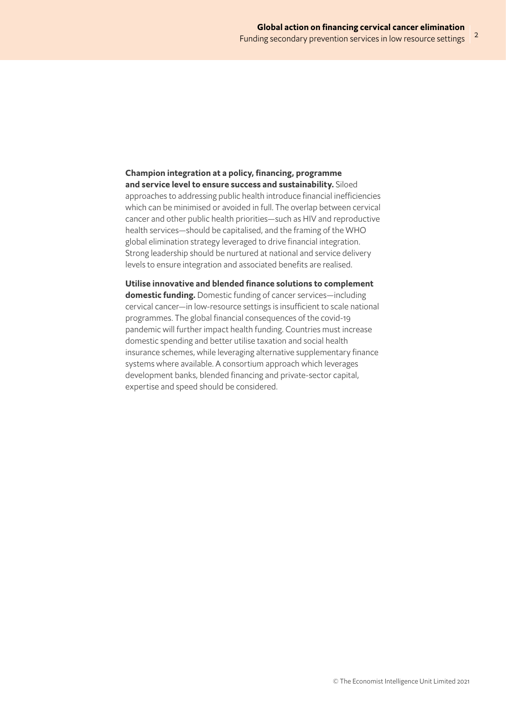2

**Champion integration at a policy, financing, programme and service level to ensure success and sustainability.** Siloed approaches to addressing public health introduce financial inefficiencies which can be minimised or avoided in full. The overlap between cervical cancer and other public health priorities—such as HIV and reproductive health services—should be capitalised, and the framing of the WHO global elimination strategy leveraged to drive financial integration. Strong leadership should be nurtured at national and service delivery levels to ensure integration and associated benefits are realised.

**Utilise innovative and blended finance solutions to complement domestic funding.** Domestic funding of cancer services—including cervical cancer-in low-resource settings is insufficient to scale national programmes. The global financial consequences of the covid-19 pandemic will further impact health funding. Countries must increase domestic spending and better utilise taxation and social health insurance schemes, while leveraging alternative supplementary finance systems where available. A consortium approach which leverages development banks, blended financing and private-sector capital, expertise and speed should be considered.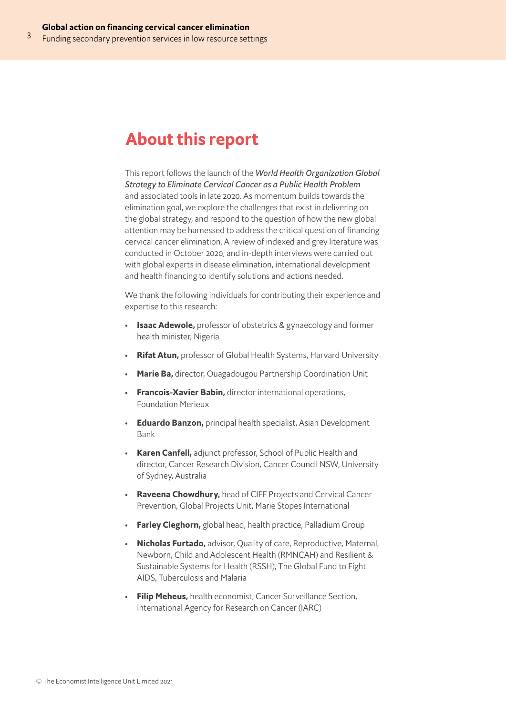## **About this report**

This report follows the launch of the *World Health Organization Global Strategy to Eliminate Cervical Cancer as a Public Health Problem*  and associated tools in late 2020. As momentum builds towards the elimination goal, we explore the challenges that exist in delivering on the global strategy, and respond to the question of how the new global attention may be harnessed to address the critical question of financing cervical cancer elimination. A review of indexed and grey literature was conducted in October 2020, and in-depth interviews were carried out with global experts in disease elimination, international development and health financing to identify solutions and actions needed.

We thank the following individuals for contributing their experience and expertise to this research:

- **Isaac Adewole,** professor of obstetrics & gynaecology and former health minister, Nigeria
- **Rifat Atun,** professor of Global Health Systems, Harvard University
- **Marie Ba,** director, Ouagadougou Partnership Coordination Unit
- **Francois-Xavier Babin,** director international operations, Foundation Merieux
- **Eduardo Banzon,** principal health specialist, Asian Development Bank
- **Karen Canfell,** adjunct professor, School of Public Health and director, Cancer Research Division, Cancer Council NSW, University of Sydney, Australia
- **Raveena Chowdhury,** head of CIFF Projects and Cervical Cancer Prevention, Global Projects Unit, Marie Stopes International
- **Farley Cleghorn,** global head, health practice, Palladium Group
- **Nicholas Furtado,** advisor, Quality of care, Reproductive, Maternal, Newborn, Child and Adolescent Health (RMNCAH) and Resilient & Sustainable Systems for Health (RSSH), The Global Fund to Fight AIDS, Tuberculosis and Malaria
- **Filip Meheus,** health economist, Cancer Surveillance Section, International Agency for Research on Cancer (IARC)

© The Economist Intelligence Unit Limited 2021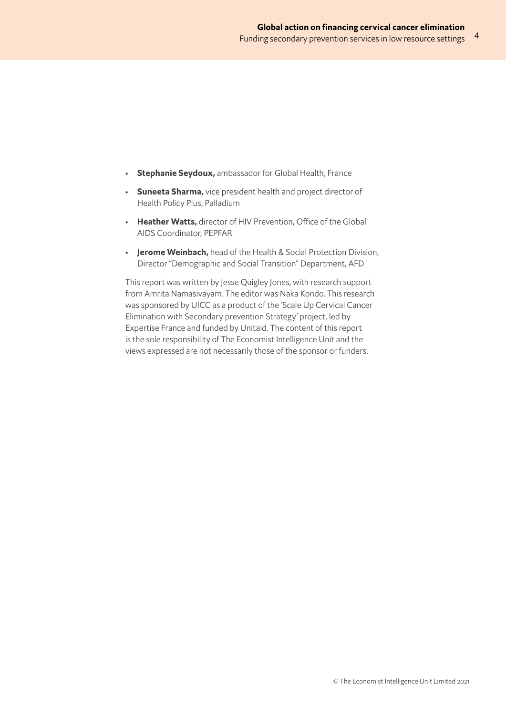- **Stephanie Seydoux,** ambassador for Global Health, France
- **Suneeta Sharma,** vice president health and project director of Health Policy Plus, Palladium
- Heather Watts, director of HIV Prevention, Office of the Global AIDS Coordinator, PEPFAR
- **Jerome Weinbach,** head of the Health & Social Protection Division, Director "Demographic and Social Transition" Department, AFD

This report was written by Jesse Quigley Jones, with research support from Amrita Namasivayam. The editor was Naka Kondo. This research was sponsored by UICC as a product of the 'Scale Up Cervical Cancer Elimination with Secondary prevention Strategy' project, led by Expertise France and funded by Unitaid. The content of this report is the sole responsibility of The Economist Intelligence Unit and the views expressed are not necessarily those of the sponsor or funders.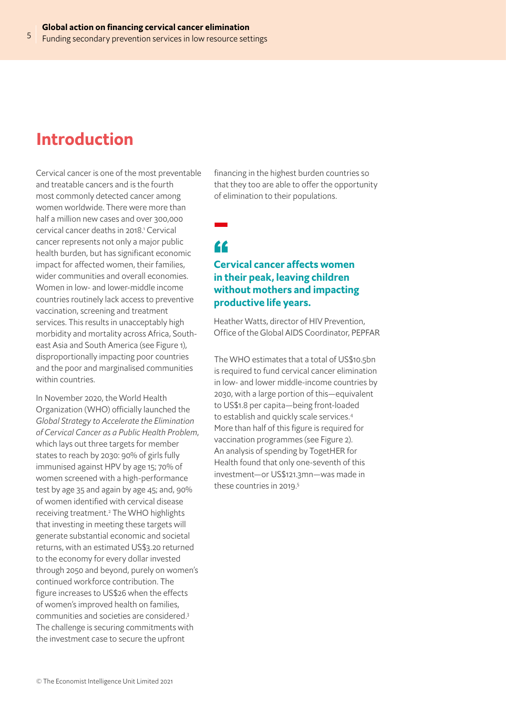## **Introduction**

Cervical cancer is one of the most preventable and treatable cancers and is the fourth most commonly detected cancer among women worldwide. There were more than half a million new cases and over 300,000 cervical cancer deaths in 2018.<sup>1</sup> Cervical cancer represents not only a major public health burden, but has significant economic impact for affected women, their families, wider communities and overall economies. Women in low- and lower-middle income countries routinely lack access to preventive vaccination, screening and treatment services. This results in unacceptably high morbidity and mortality across Africa, Southeast Asia and South America (see Figure 1), disproportionally impacting poor countries and the poor and marginalised communities within countries.

In November 2020, the World Health Organization (WHO) officially launched the *Global Strategy to Accelerate the Elimination of Cervical Cancer as a Public Health Problem*, which lays out three targets for member states to reach by 2030: 90% of girls fully immunised against HPV by age 15; 70% of women screened with a high-performance test by age 35 and again by age 45; and, 90% of women identified with cervical disease receiving treatment.2 The WHO highlights that investing in meeting these targets will generate substantial economic and societal returns, with an estimated US\$3.20 returned to the economy for every dollar invested through 2050 and beyond, purely on women's continued workforce contribution. The figure increases to US\$26 when the effects of women's improved health on families, communities and societies are considered.3 The challenge is securing commitments with the investment case to secure the upfront

financing in the highest burden countries so that they too are able to offer the opportunity of elimination to their populations.

## "

## **Cervical cancer affects women in their peak, leaving children without mothers and impacting productive life years.**

Heather Watts, director of HIV Prevention, Office of the Global AIDS Coordinator, PEPFAR

The WHO estimates that a total of US\$10.5bn is required to fund cervical cancer elimination in low- and lower middle-income countries by 2030, with a large portion of this—equivalent to US\$1.8 per capita—being front-loaded to establish and quickly scale services.4 More than half of this figure is required for vaccination programmes (see Figure 2). An analysis of spending by TogetHER for Health found that only one-seventh of this investment—or US\$121.3mn—was made in these countries in 2019.<sup>5</sup>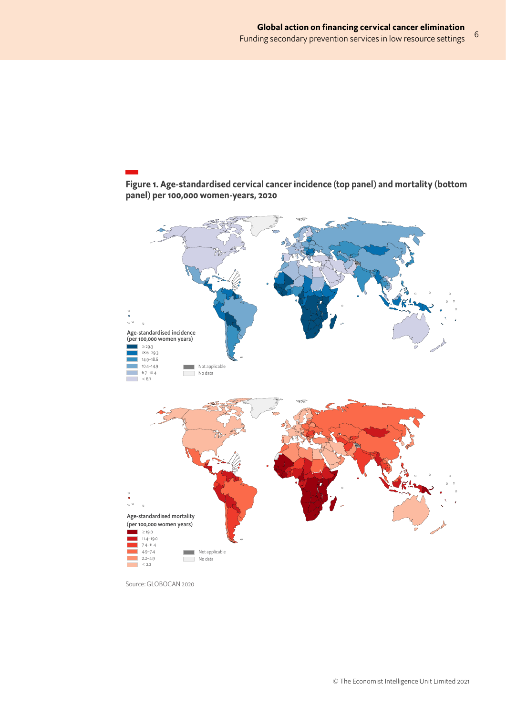**Figure 1. Age-standardised cervical cancer incidence (top panel) and mortality (bottom panel) per 100,000 women-years, 2020**



Source: GLOBOCAN 2020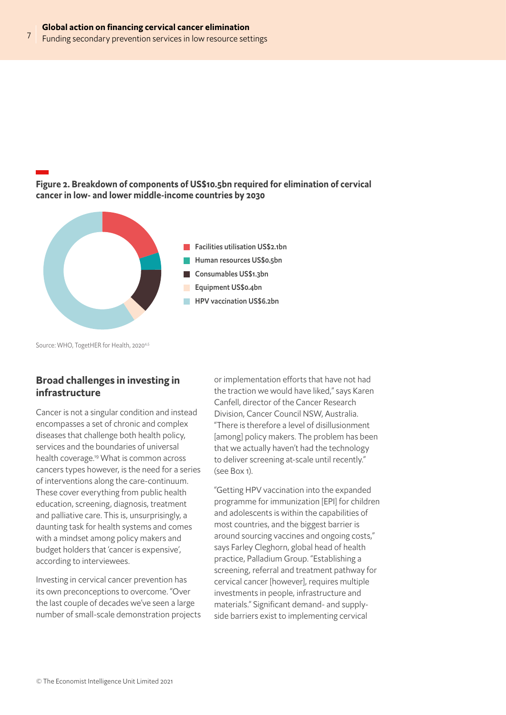### **Figure 2. Breakdown of components of US\$10.5bn required for elimination of cervical cancer in low- and lower middle-income countries by 2030**



Source: WHO, TogetHER for Health, 20204,5

## **Broad challenges in investing in infrastructure**

Cancer is not a singular condition and instead encompasses a set of chronic and complex diseases that challenge both health policy, services and the boundaries of universal health coverage.19 What is common across cancers types however, is the need for a series of interventions along the care-continuum. These cover everything from public health education, screening, diagnosis, treatment and palliative care. This is, unsurprisingly, a daunting task for health systems and comes with a mindset among policy makers and budget holders that 'cancer is expensive', according to interviewees.

Investing in cervical cancer prevention has its own preconceptions to overcome. "Over the last couple of decades we've seen a large number of small-scale demonstration projects

or implementation efforts that have not had the traction we would have liked," says Karen Canfell, director of the Cancer Research Division, Cancer Council NSW, Australia. "There is therefore a level of disillusionment [among] policy makers. The problem has been that we actually haven't had the technology to deliver screening at-scale until recently." (see Box 1).

"Getting HPV vaccination into the expanded programme for immunization [EPI] for children and adolescents is within the capabilities of most countries, and the biggest barrier is around sourcing vaccines and ongoing costs," says Farley Cleghorn, global head of health practice, Palladium Group. "Establishing a screening, referral and treatment pathway for cervical cancer [however], requires multiple investments in people, infrastructure and materials." Significant demand- and supplyside barriers exist to implementing cervical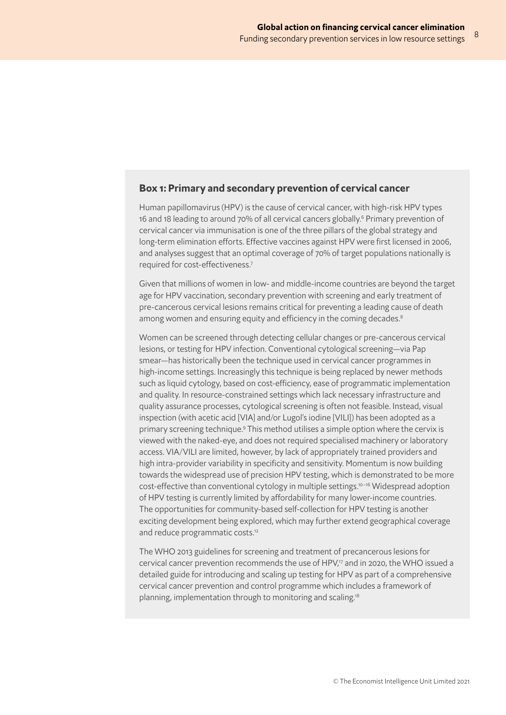### **Box 1: Primary and secondary prevention of cervical cancer**

Human papillomavirus (HPV) is the cause of cervical cancer, with high-risk HPV types 16 and 18 leading to around 70% of all cervical cancers globally.<sup>6</sup> Primary prevention of cervical cancer via immunisation is one of the three pillars of the global strategy and long-term elimination efforts. Effective vaccines against HPV were first licensed in 2006, and analyses suggest that an optimal coverage of 70% of target populations nationally is required for cost-effectiveness.7

Given that millions of women in low- and middle-income countries are beyond the target age for HPV vaccination, secondary prevention with screening and early treatment of pre-cancerous cervical lesions remains critical for preventing a leading cause of death among women and ensuring equity and efficiency in the coming decades.<sup>8</sup>

Women can be screened through detecting cellular changes or pre-cancerous cervical lesions, or testing for HPV infection. Conventional cytological screening—via Pap smear—has historically been the technique used in cervical cancer programmes in high-income settings. Increasingly this technique is being replaced by newer methods such as liquid cytology, based on cost-efficiency, ease of programmatic implementation and quality. In resource-constrained settings which lack necessary infrastructure and quality assurance processes, cytological screening is often not feasible. Instead, visual inspection (with acetic acid [VIA] and/or Lugol's iodine [VILI]) has been adopted as a primary screening technique.<sup>9</sup> This method utilises a simple option where the cervix is viewed with the naked-eye, and does not required specialised machinery or laboratory access. VIA/VILI are limited, however, by lack of appropriately trained providers and high intra-provider variability in specificity and sensitivity. Momentum is now building towards the widespread use of precision HPV testing, which is demonstrated to be more cost-effective than conventional cytology in multiple settings.<sup>10-16</sup> Widespread adoption of HPV testing is currently limited by affordability for many lower-income countries. The opportunities for community-based self-collection for HPV testing is another exciting development being explored, which may further extend geographical coverage and reduce programmatic costs.<sup>12</sup>

The WHO 2013 guidelines for screening and treatment of precancerous lesions for cervical cancer prevention recommends the use of HPV,17 and in 2020, the WHO issued a detailed guide for introducing and scaling up testing for HPV as part of a comprehensive cervical cancer prevention and control programme which includes a framework of planning, implementation through to monitoring and scaling.18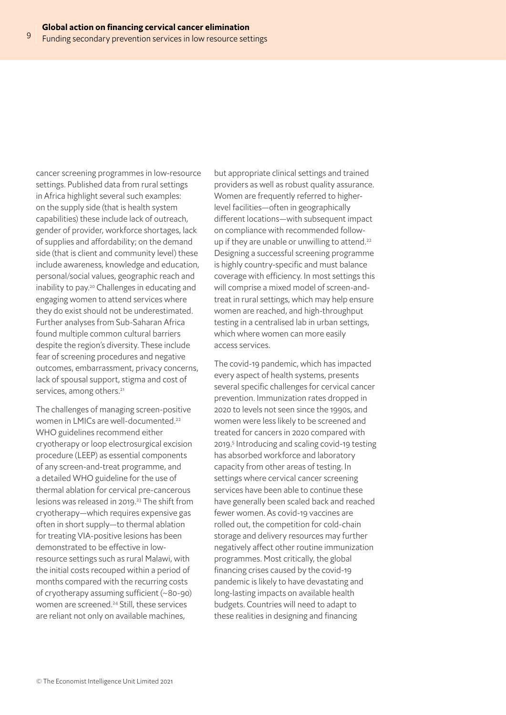cancer screening programmes in low-resource settings. Published data from rural settings in Africa highlight several such examples: on the supply side (that is health system capabilities) these include lack of outreach, gender of provider, workforce shortages, lack of supplies and affordability; on the demand side (that is client and community level) these include awareness, knowledge and education, personal/social values, geographic reach and inability to pay.<sup>20</sup> Challenges in educating and engaging women to attend services where they do exist should not be underestimated. Further analyses from Sub-Saharan Africa found multiple common cultural barriers despite the region's diversity. These include fear of screening procedures and negative outcomes, embarrassment, privacy concerns, lack of spousal support, stigma and cost of services, among others.<sup>21</sup>

The challenges of managing screen-positive women in LMICs are well-documented.<sup>22</sup> WHO guidelines recommend either cryotherapy or loop electrosurgical excision procedure (LEEP) as essential components of any screen-and-treat programme, and a detailed WHO guideline for the use of thermal ablation for cervical pre-cancerous lesions was released in 2019.<sup>23</sup> The shift from cryotherapy—which requires expensive gas often in short supply—to thermal ablation for treating VIA-positive lesions has been demonstrated to be effective in lowresource settings such as rural Malawi, with the initial costs recouped within a period of months compared with the recurring costs of cryotherapy assuming sufficient  $(\sim 80 - 90)$ women are screened.24 Still, these services are reliant not only on available machines,

but appropriate clinical settings and trained providers as well as robust quality assurance. Women are frequently referred to higherlevel facilities—often in geographically diferent locations—with subsequent impact on compliance with recommended followup if they are unable or unwilling to attend.<sup>22</sup> Designing a successful screening programme is highly country-specific and must balance coverage with efficiency. In most settings this will comprise a mixed model of screen-andtreat in rural settings, which may help ensure women are reached, and high-throughput testing in a centralised lab in urban settings, which where women can more easily access services.

The covid-19 pandemic, which has impacted every aspect of health systems, presents several specific challenges for cervical cancer prevention. Immunization rates dropped in 2020 to levels not seen since the 1990s, and women were less likely to be screened and treated for cancers in 2020 compared with 2019.5 Introducing and scaling covid-19 testing has absorbed workforce and laboratory capacity from other areas of testing. In settings where cervical cancer screening services have been able to continue these have generally been scaled back and reached fewer women. As covid-19 vaccines are rolled out, the competition for cold-chain storage and delivery resources may further negatively affect other routine immunization programmes. Most critically, the global financing crises caused by the covid-19 pandemic is likely to have devastating and long-lasting impacts on available health budgets. Countries will need to adapt to these realities in designing and financing

© The Economist Intelligence Unit Limited 2021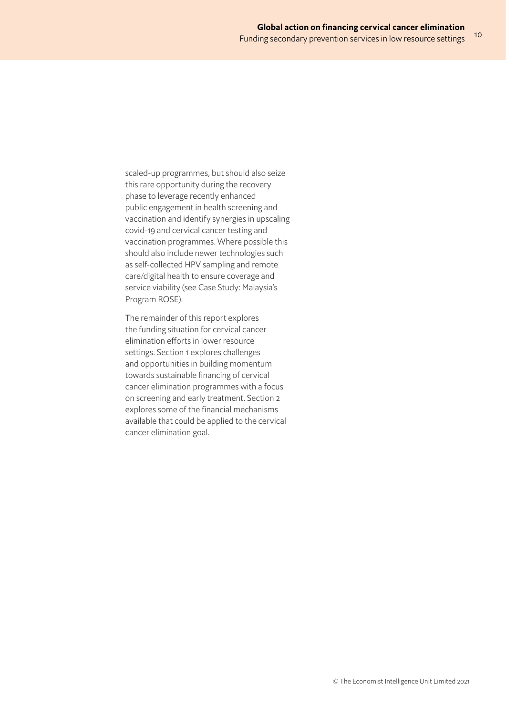scaled-up programmes, but should also seize this rare opportunity during the recovery phase to leverage recently enhanced public engagement in health screening and vaccination and identify synergies in upscaling covid-19 and cervical cancer testing and vaccination programmes. Where possible this should also include newer technologies such as self-collected HPV sampling and remote care/digital health to ensure coverage and service viability (see Case Study: Malaysia's Program ROSE).

The remainder of this report explores the funding situation for cervical cancer elimination efforts in lower resource settings. Section 1 explores challenges and opportunities in building momentum towards sustainable financing of cervical cancer elimination programmes with a focus on screening and early treatment. Section 2 explores some of the financial mechanisms available that could be applied to the cervical cancer elimination goal.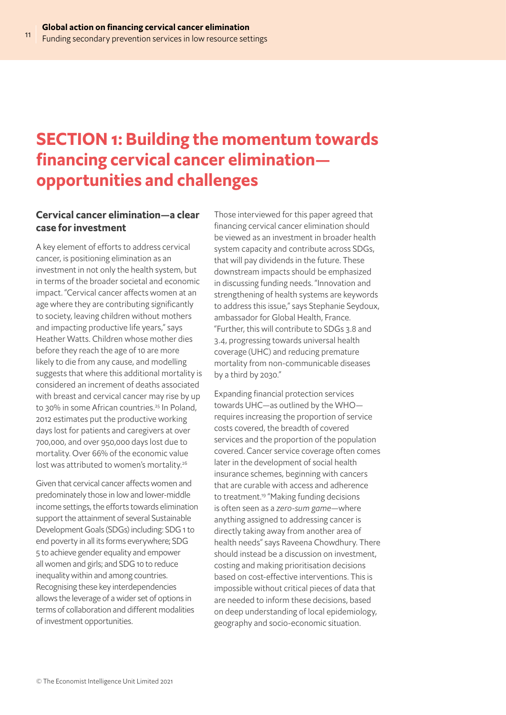## **SECTION 1: Building the momentum towards financing cervical cancer elimination opportunities and challenges**

## **Cervical cancer elimination—a clear case for investment**

A key element of efforts to address cervical cancer, is positioning elimination as an investment in not only the health system, but in terms of the broader societal and economic impact. "Cervical cancer affects women at an age where they are contributing significantly to society, leaving children without mothers and impacting productive life years," says Heather Watts. Children whose mother dies before they reach the age of 10 are more likely to die from any cause, and modelling suggests that where this additional mortality is considered an increment of deaths associated with breast and cervical cancer may rise by up to 30% in some African countries.<sup>25</sup> In Poland, 2012 estimates put the productive working days lost for patients and caregivers at over 700,000, and over 950,000 days lost due to mortality. Over 66% of the economic value lost was attributed to women's mortality.<sup>26</sup>

Given that cervical cancer afects women and predominately those in low and lower-middle income settings, the efforts towards elimination support the attainment of several Sustainable Development Goals (SDGs) including: SDG 1 to end poverty in all its forms everywhere; SDG 5 to achieve gender equality and empower all women and girls; and SDG 10 to reduce inequality within and among countries. Recognising these key interdependencies allows the leverage of a wider set of options in terms of collaboration and diferent modalities of investment opportunities.

Those interviewed for this paper agreed that financing cervical cancer elimination should be viewed as an investment in broader health system capacity and contribute across SDGs, that will pay dividends in the future. These downstream impacts should be emphasized in discussing funding needs. "Innovation and strengthening of health systems are keywords to address this issue," says Stephanie Seydoux, ambassador for Global Health, France. "Further, this will contribute to SDGs 3.8 and 3.4, progressing towards universal health coverage (UHC) and reducing premature mortality from non-communicable diseases by a third by 2030."

Expanding financial protection services towards UHC—as outlined by the WHO requires increasing the proportion of service costs covered, the breadth of covered services and the proportion of the population covered. Cancer service coverage often comes later in the development of social health insurance schemes, beginning with cancers that are curable with access and adherence to treatment.<sup>19</sup> "Making funding decisions is often seen as a *zero-sum game*—where anything assigned to addressing cancer is directly taking away from another area of health needs" says Raveena Chowdhury. There should instead be a discussion on investment, costing and making prioritisation decisions based on cost-efective interventions. This is impossible without critical pieces of data that are needed to inform these decisions, based on deep understanding of local epidemiology, geography and socio-economic situation.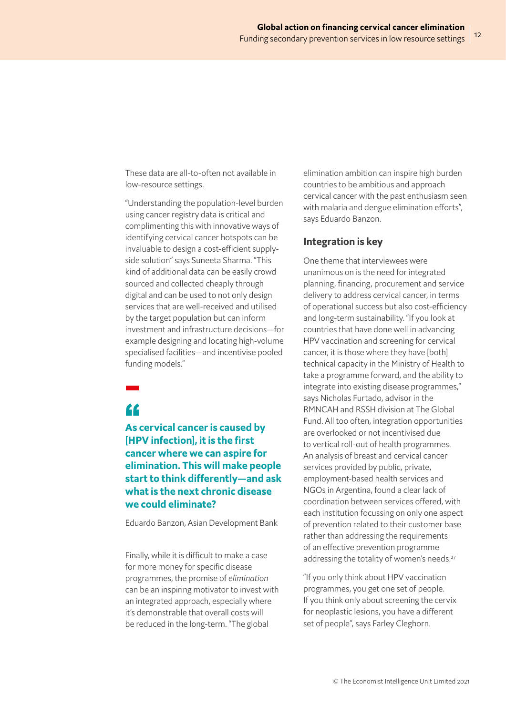These data are all-to-often not available in low-resource settings.

"Understanding the population-level burden using cancer registry data is critical and complimenting this with innovative ways of identifying cervical cancer hotspots can be invaluable to design a cost-efficient supplyside solution" says Suneeta Sharma. "This kind of additional data can be easily crowd sourced and collected cheaply through digital and can be used to not only design services that are well-received and utilised by the target population but can inform investment and infrastructure decisions—for example designing and locating high-volume specialised facilities—and incentivise pooled funding models."

## "

**As cervical cancer is caused by [HPV infection], it is the first cancer where we can aspire for elimination. This will make people start to think differently—and ask what is the next chronic disease we could eliminate?**

Eduardo Banzon, Asian Development Bank

Finally, while it is difficult to make a case for more money for specific disease programmes, the promise of *elimination* can be an inspiring motivator to invest with an integrated approach, especially where it's demonstrable that overall costs will be reduced in the long-term. "The global

elimination ambition can inspire high burden countries to be ambitious and approach cervical cancer with the past enthusiasm seen with malaria and dengue elimination efforts", says Eduardo Banzon.

### **Integration is key**

One theme that interviewees were unanimous on is the need for integrated planning, financing, procurement and service delivery to address cervical cancer, in terms of operational success but also cost-efficiency and long-term sustainability. "If you look at countries that have done well in advancing HPV vaccination and screening for cervical cancer, it is those where they have [both] technical capacity in the Ministry of Health to take a programme forward, and the ability to integrate into existing disease programmes," says Nicholas Furtado, advisor in the RMNCAH and RSSH division at The Global Fund. All too often, integration opportunities are overlooked or not incentivised due to vertical roll-out of health programmes. An analysis of breast and cervical cancer services provided by public, private, employment-based health services and NGOs in Argentina, found a clear lack of coordination between services ofered, with each institution focussing on only one aspect of prevention related to their customer base rather than addressing the requirements of an efective prevention programme addressing the totality of women's needs.<sup>27</sup>

"If you only think about HPV vaccination programmes, you get one set of people. If you think only about screening the cervix for neoplastic lesions, you have a diferent set of people", says Farley Cleghorn.

12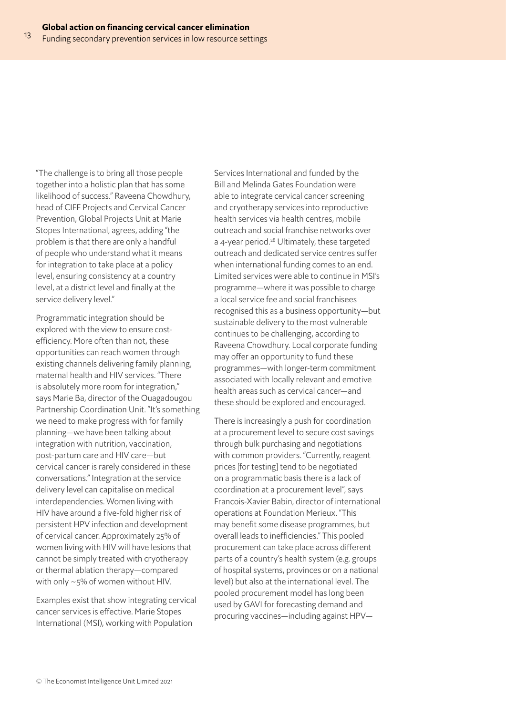"The challenge is to bring all those people together into a holistic plan that has some likelihood of success." Raveena Chowdhury, head of CIFF Projects and Cervical Cancer Prevention, Global Projects Unit at Marie Stopes International, agrees, adding "the problem is that there are only a handful of people who understand what it means for integration to take place at a policy level, ensuring consistency at a country level, at a district level and finally at the service delivery level."

Programmatic integration should be explored with the view to ensure costefficiency. More often than not, these opportunities can reach women through existing channels delivering family planning, maternal health and HIV services. "There is absolutely more room for integration," says Marie Ba, director of the Ouagadougou Partnership Coordination Unit. "It's something we need to make progress with for family planning—we have been talking about integration with nutrition, vaccination, post-partum care and HIV care—but cervical cancer is rarely considered in these conversations." Integration at the service delivery level can capitalise on medical interdependencies. Women living with HIV have around a five-fold higher risk of persistent HPV infection and development of cervical cancer. Approximately 25% of women living with HIV will have lesions that cannot be simply treated with cryotherapy or thermal ablation therapy—compared with only ~5% of women without HIV.

Examples exist that show integrating cervical cancer services is efective. Marie Stopes International (MSI), working with Population

Services International and funded by the Bill and Melinda Gates Foundation were able to integrate cervical cancer screening and cryotherapy services into reproductive health services via health centres, mobile outreach and social franchise networks over a 4-year period.<sup>28</sup> Ultimately, these targeted outreach and dedicated service centres suffer when international funding comes to an end. Limited services were able to continue in MSI's programme—where it was possible to charge a local service fee and social franchisees recognised this as a business opportunity—but sustainable delivery to the most vulnerable continues to be challenging, according to Raveena Chowdhury. Local corporate funding may offer an opportunity to fund these programmes—with longer-term commitment associated with locally relevant and emotive health areas such as cervical cancer—and these should be explored and encouraged.

There is increasingly a push for coordination at a procurement level to secure cost savings through bulk purchasing and negotiations with common providers. "Currently, reagent prices [for testing] tend to be negotiated on a programmatic basis there is a lack of coordination at a procurement level", says Francois-Xavier Babin, director of international operations at Foundation Merieux. "This may benefit some disease programmes, but overall leads to inefficiencies." This pooled procurement can take place across diferent parts of a country's health system (e.g. groups of hospital systems, provinces or on a national level) but also at the international level. The pooled procurement model has long been used by GAVI for forecasting demand and procuring vaccines—including against HPV—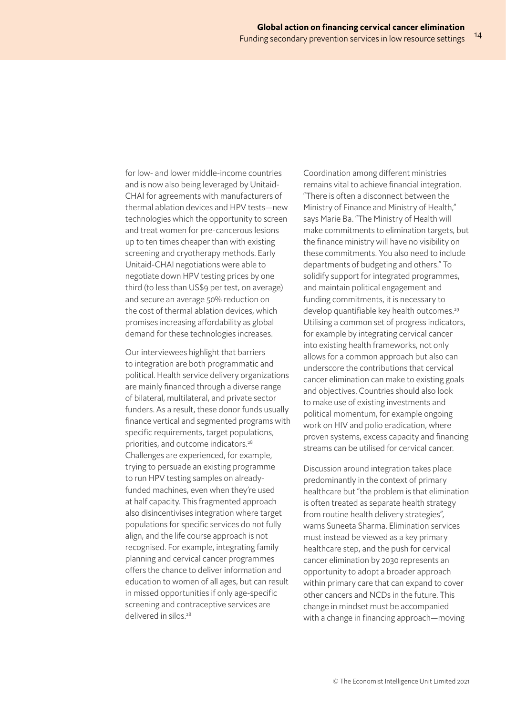for low- and lower middle-income countries and is now also being leveraged by Unitaid-CHAI for agreements with manufacturers of thermal ablation devices and HPV tests—new technologies which the opportunity to screen and treat women for pre-cancerous lesions up to ten times cheaper than with existing screening and cryotherapy methods. Early Unitaid-CHAI negotiations were able to negotiate down HPV testing prices by one third (to less than US\$9 per test, on average) and secure an average 50% reduction on the cost of thermal ablation devices, which promises increasing affordability as global demand for these technologies increases.

Our interviewees highlight that barriers to integration are both programmatic and political. Health service delivery organizations are mainly financed through a diverse range of bilateral, multilateral, and private sector funders. As a result, these donor funds usually finance vertical and segmented programs with specific requirements, target populations, priorities, and outcome indicators.28 Challenges are experienced, for example, trying to persuade an existing programme to run HPV testing samples on alreadyfunded machines, even when they're used at half capacity. This fragmented approach also disincentivises integration where target populations for specific services do not fully align, and the life course approach is not recognised. For example, integrating family planning and cervical cancer programmes offers the chance to deliver information and education to women of all ages, but can result in missed opportunities if only age-specific screening and contraceptive services are delivered in silos.<sup>28</sup>

Coordination among diferent ministries remains vital to achieve financial integration. "There is often a disconnect between the Ministry of Finance and Ministry of Health," says Marie Ba. "The Ministry of Health will make commitments to elimination targets, but the finance ministry will have no visibility on these commitments. You also need to include departments of budgeting and others." To solidify support for integrated programmes, and maintain political engagement and funding commitments, it is necessary to develop quantifiable key health outcomes.<sup>29</sup> Utilising a common set of progress indicators, for example by integrating cervical cancer into existing health frameworks, not only allows for a common approach but also can underscore the contributions that cervical cancer elimination can make to existing goals and objectives. Countries should also look to make use of existing investments and political momentum, for example ongoing work on HIV and polio eradication, where proven systems, excess capacity and financing streams can be utilised for cervical cancer.

Discussion around integration takes place predominantly in the context of primary healthcare but "the problem is that elimination is often treated as separate health strategy from routine health delivery strategies", warns Suneeta Sharma. Elimination services must instead be viewed as a key primary healthcare step, and the push for cervical cancer elimination by 2030 represents an opportunity to adopt a broader approach within primary care that can expand to cover other cancers and NCDs in the future. This change in mindset must be accompanied with a change in financing approach—moving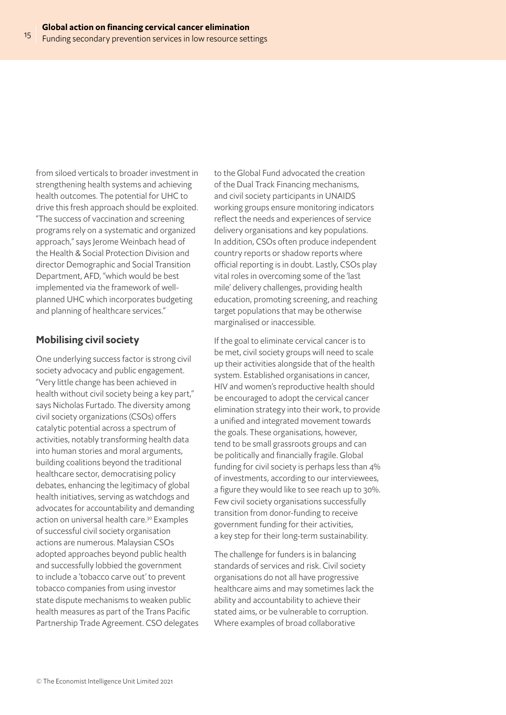from siloed verticals to broader investment in strengthening health systems and achieving health outcomes. The potential for UHC to drive this fresh approach should be exploited. "The success of vaccination and screening programs rely on a systematic and organized approach," says Jerome Weinbach head of the Health & Social Protection Division and director Demographic and Social Transition Department, AFD, "which would be best implemented via the framework of wellplanned UHC which incorporates budgeting and planning of healthcare services."

### **Mobilising civil society**

One underlying success factor is strong civil society advocacy and public engagement. "Very little change has been achieved in health without civil society being a key part," says Nicholas Furtado. The diversity among civil society organizations (CSOs) offers catalytic potential across a spectrum of activities, notably transforming health data into human stories and moral arguments, building coalitions beyond the traditional healthcare sector, democratising policy debates, enhancing the legitimacy of global health initiatives, serving as watchdogs and advocates for accountability and demanding action on universal health care.30 Examples of successful civil society organisation actions are numerous. Malaysian CSOs adopted approaches beyond public health and successfully lobbied the government to include a 'tobacco carve out' to prevent tobacco companies from using investor state dispute mechanisms to weaken public health measures as part of the Trans Pacific Partnership Trade Agreement. CSO delegates

to the Global Fund advocated the creation of the Dual Track Financing mechanisms, and civil society participants in UNAIDS working groups ensure monitoring indicators reflect the needs and experiences of service delivery organisations and key populations. In addition, CSOs often produce independent country reports or shadow reports where official reporting is in doubt. Lastly, CSOs play vital roles in overcoming some of the 'last mile' delivery challenges, providing health education, promoting screening, and reaching target populations that may be otherwise marginalised or inaccessible.

If the goal to eliminate cervical cancer is to be met, civil society groups will need to scale up their activities alongside that of the health system. Established organisations in cancer, HIV and women's reproductive health should be encouraged to adopt the cervical cancer elimination strategy into their work, to provide a unified and integrated movement towards the goals. These organisations, however, tend to be small grassroots groups and can be politically and financially fragile. Global funding for civil society is perhaps less than 4% of investments, according to our interviewees, a figure they would like to see reach up to 30%. Few civil society organisations successfully transition from donor-funding to receive government funding for their activities, a key step for their long-term sustainability.

The challenge for funders is in balancing standards of services and risk. Civil society organisations do not all have progressive healthcare aims and may sometimes lack the ability and accountability to achieve their stated aims, or be vulnerable to corruption. Where examples of broad collaborative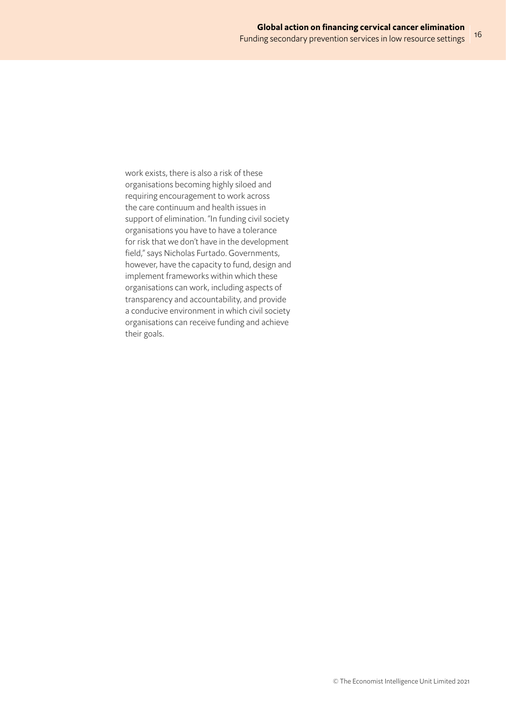work exists, there is also a risk of these organisations becoming highly siloed and requiring encouragement to work across the care continuum and health issues in support of elimination. "In funding civil society organisations you have to have a tolerance for risk that we don't have in the development field," says Nicholas Furtado. Governments, however, have the capacity to fund, design and implement frameworks within which these organisations can work, including aspects of transparency and accountability, and provide a conducive environment in which civil society organisations can receive funding and achieve their goals.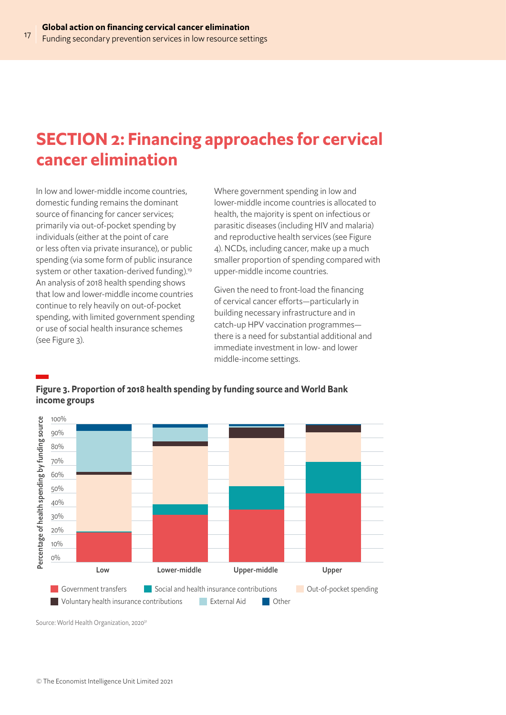## **SECTION 2: Financing approaches for cervical cancer elimination**

In low and lower-middle income countries, domestic funding remains the dominant source of financing for cancer services; primarily via out-of-pocket spending by individuals (either at the point of care or less often via private insurance), or public spending (via some form of public insurance system or other taxation-derived funding).<sup>19</sup> An analysis of 2018 health spending shows that low and lower-middle income countries continue to rely heavily on out-of-pocket spending, with limited government spending or use of social health insurance schemes (see Figure 3).

Where government spending in low and lower-middle income countries is allocated to health, the majority is spent on infectious or parasitic diseases (including HIV and malaria) and reproductive health services (see Figure 4). NCDs, including cancer, make up a much smaller proportion of spending compared with upper-middle income countries.

Given the need to front-load the financing of cervical cancer efforts-particularly in building necessary infrastructure and in catch-up HPV vaccination programmes there is a need for substantial additional and immediate investment in low- and lower middle-income settings.





Source: World Health Organization, 2020<sup>31</sup>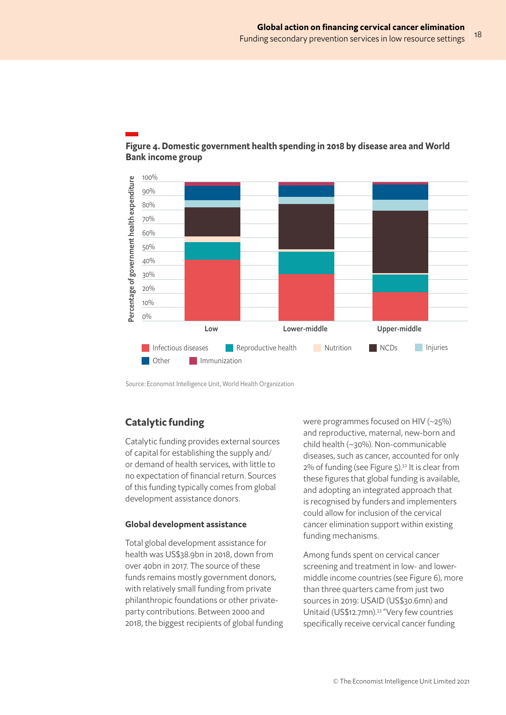



### **Figure 4. Domestic government health spending in 2018 by disease area and World Bank income group**

Source: Economist Intelligence Unit, World Health Organization

## **Catalytic funding**

Catalytic funding provides external sources of capital for establishing the supply and/ or demand of health services, with little to no expectation of financial return. Sources of this funding typically comes from global development assistance donors.

#### **Global development assistance**

Total global development assistance for health was US\$38.9bn in 2018, down from over 40bn in 2017. The source of these funds remains mostly government donors, with relatively small funding from private philanthropic foundations or other privateparty contributions. Between 2000 and 2018, the biggest recipients of global funding were programmes focused on HIV (~25%) and reproductive, maternal, new-born and child health (~30%). Non-communicable diseases, such as cancer, accounted for only 2% of funding (see Figure 5).32 It is clear from these figures that global funding is available, and adopting an integrated approach that is recognised by funders and implementers could allow for inclusion of the cervical cancer elimination support within existing funding mechanisms.

Among funds spent on cervical cancer screening and treatment in low- and lowermiddle income countries (see Figure 6), more than three quarters came from just two sources in 2019: USAID (US\$30.6mn) and Unitaid (US\$12.7mn).33 "Very few countries specifically receive cervical cancer funding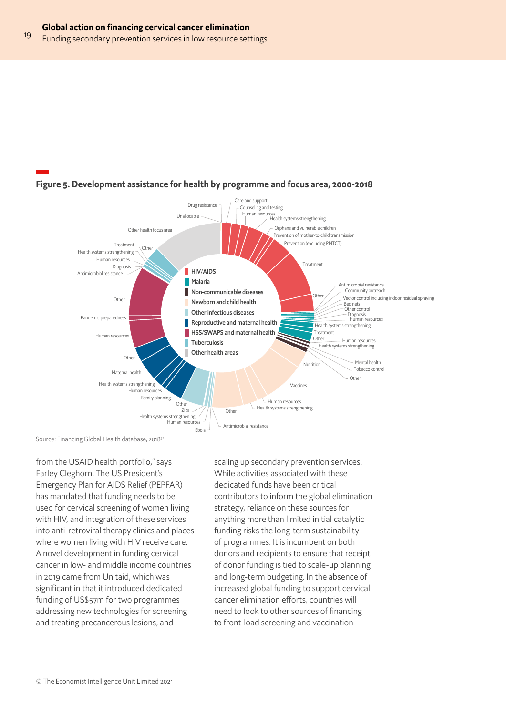

### **Figure 5. Development assistance for health by programme and focus area, 2000-2018**

Source: Financing Global Health database, 2018<sup>32</sup>

from the USAID health portfolio," says Farley Cleghorn. The US President's Emergency Plan for AIDS Relief (PEPFAR) has mandated that funding needs to be used for cervical screening of women living with HIV, and integration of these services into anti-retroviral therapy clinics and places where women living with HIV receive care. A novel development in funding cervical cancer in low- and middle income countries in 2019 came from Unitaid, which was significant in that it introduced dedicated funding of US\$57m for two programmes addressing new technologies for screening and treating precancerous lesions, and

scaling up secondary prevention services. While activities associated with these dedicated funds have been critical contributors to inform the global elimination strategy, reliance on these sources for anything more than limited initial catalytic funding risks the long-term sustainability of programmes. It is incumbent on both donors and recipients to ensure that receipt of donor funding is tied to scale-up planning and long-term budgeting. In the absence of increased global funding to support cervical cancer elimination efforts, countries will need to look to other sources of financing to front-load screening and vaccination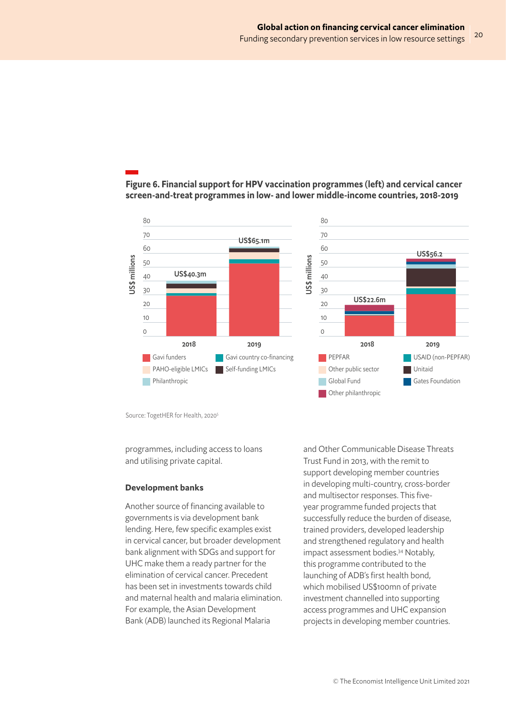### **Figure 6. Financial support for HPV vaccination programmes (left) and cervical cancer screen-and-treat programmes in low- and lower middle-income countries, 2018-2019**



Source: TogetHER for Health, 20205

programmes, including access to loans and utilising private capital.

#### **Development banks**

Another source of financing available to governments is via development bank lending. Here, few specific examples exist in cervical cancer, but broader development bank alignment with SDGs and support for UHC make them a ready partner for the elimination of cervical cancer. Precedent has been set in investments towards child and maternal health and malaria elimination. For example, the Asian Development Bank (ADB) launched its Regional Malaria

and Other Communicable Disease Threats Trust Fund in 2013, with the remit to support developing member countries in developing multi-country, cross-border and multisector responses. This fiveyear programme funded projects that successfully reduce the burden of disease, trained providers, developed leadership and strengthened regulatory and health impact assessment bodies.<sup>34</sup> Notably, this programme contributed to the launching of ADB's first health bond, which mobilised US\$100mn of private investment channelled into supporting access programmes and UHC expansion projects in developing member countries.

20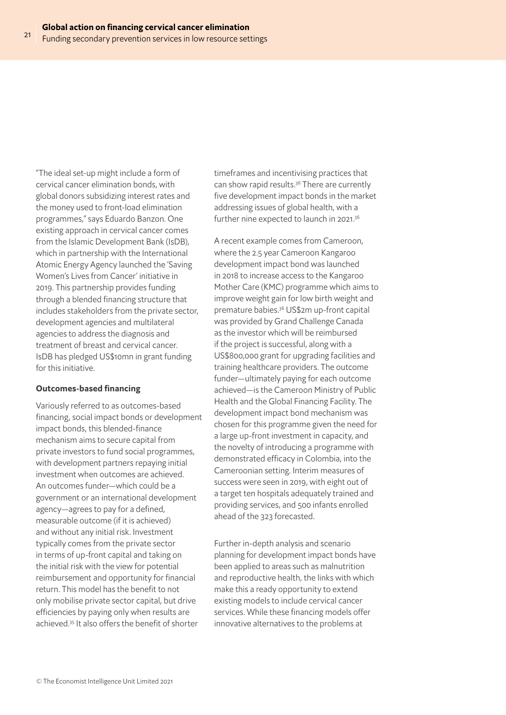"The ideal set-up might include a form of cervical cancer elimination bonds, with global donors subsidizing interest rates and the money used to front-load elimination programmes," says Eduardo Banzon. One existing approach in cervical cancer comes from the Islamic Development Bank (IsDB), which in partnership with the International Atomic Energy Agency launched the 'Saving Women's Lives from Cancer' initiative in 2019. This partnership provides funding through a blended financing structure that includes stakeholders from the private sector, development agencies and multilateral agencies to address the diagnosis and treatment of breast and cervical cancer. IsDB has pledged US\$10mn in grant funding for this initiative.

#### **Outcomes-based financing**

Variously referred to as outcomes-based financing, social impact bonds or development impact bonds, this blended-finance mechanism aims to secure capital from private investors to fund social programmes, with development partners repaying initial investment when outcomes are achieved. An outcomes funder—which could be a government or an international development agency—agrees to pay for a defined, measurable outcome (if it is achieved) and without any initial risk. Investment typically comes from the private sector in terms of up-front capital and taking on the initial risk with the view for potential reimbursement and opportunity for financial return. This model has the benefit to not only mobilise private sector capital, but drive efficiencies by paying only when results are achieved.<sup>35</sup> It also offers the benefit of shorter

timeframes and incentivising practices that can show rapid results.36 There are currently five development impact bonds in the market addressing issues of global health, with a further nine expected to launch in 2021.<sup>36</sup>

A recent example comes from Cameroon, where the 2.5 year Cameroon Kangaroo development impact bond was launched in 2018 to increase access to the Kangaroo Mother Care (KMC) programme which aims to improve weight gain for low birth weight and premature babies.36 US\$2m up-front capital was provided by Grand Challenge Canada as the investor which will be reimbursed if the project is successful, along with a US\$800,000 grant for upgrading facilities and training healthcare providers. The outcome funder—ultimately paying for each outcome achieved—is the Cameroon Ministry of Public Health and the Global Financing Facility. The development impact bond mechanism was chosen for this programme given the need for a large up-front investment in capacity, and the novelty of introducing a programme with demonstrated efficacy in Colombia, into the Cameroonian setting. Interim measures of success were seen in 2019, with eight out of a target ten hospitals adequately trained and providing services, and 500 infants enrolled ahead of the 323 forecasted.

Further in-depth analysis and scenario planning for development impact bonds have been applied to areas such as malnutrition and reproductive health, the links with which make this a ready opportunity to extend existing models to include cervical cancer services. While these financing models offer innovative alternatives to the problems at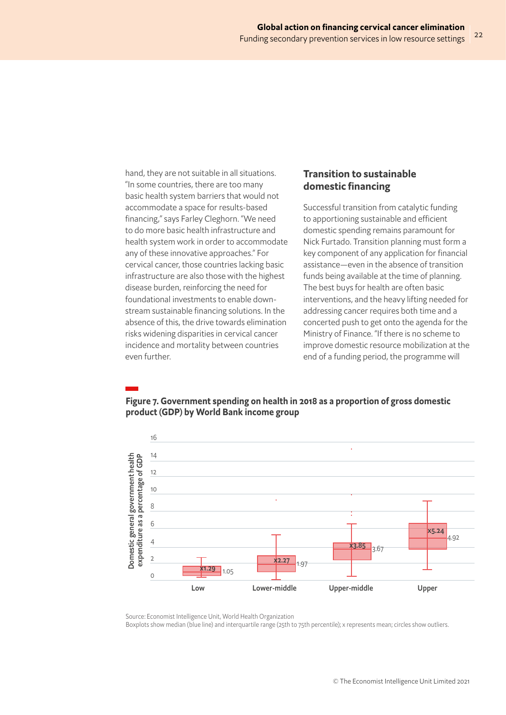hand, they are not suitable in all situations. "In some countries, there are too many basic health system barriers that would not accommodate a space for results-based financing," says Farley Cleghorn. "We need to do more basic health infrastructure and health system work in order to accommodate any of these innovative approaches." For cervical cancer, those countries lacking basic infrastructure are also those with the highest disease burden, reinforcing the need for foundational investments to enable downstream sustainable financing solutions. In the absence of this, the drive towards elimination risks widening disparities in cervical cancer incidence and mortality between countries even further.

## **Transition to sustainable domestic financing**

Successful transition from catalytic funding to apportioning sustainable and efficient domestic spending remains paramount for Nick Furtado. Transition planning must form a key component of any application for financial assistance—even in the absence of transition funds being available at the time of planning. The best buys for health are often basic interventions, and the heavy lifting needed for addressing cancer requires both time and a concerted push to get onto the agenda for the Ministry of Finance. "If there is no scheme to improve domestic resource mobilization at the end of a funding period, the programme will

### **Figure 7. Government spending on health in 2018 as a proportion of gross domestic product (GDP) by World Bank income group**



Source: Economist Intelligence Unit, World Health Organization

Boxplots show median (blue line) and interquartile range (25th to 75th percentile); x represents mean; circles show outliers.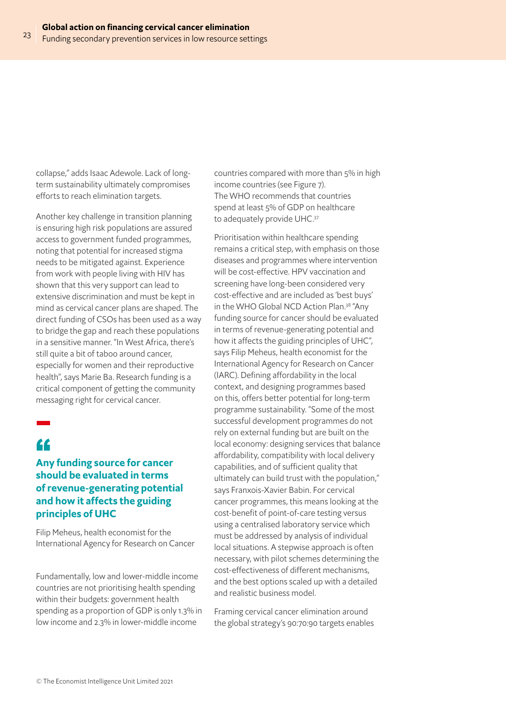collapse," adds Isaac Adewole. Lack of longterm sustainability ultimately compromises efforts to reach elimination targets.

Another key challenge in transition planning is ensuring high risk populations are assured access to government funded programmes, noting that potential for increased stigma needs to be mitigated against. Experience from work with people living with HIV has shown that this very support can lead to extensive discrimination and must be kept in mind as cervical cancer plans are shaped. The direct funding of CSOs has been used as a way to bridge the gap and reach these populations in a sensitive manner. "In West Africa, there's still quite a bit of taboo around cancer, especially for women and their reproductive health", says Marie Ba. Research funding is a critical component of getting the community messaging right for cervical cancer.

## "

## **Any funding source for cancer should be evaluated in terms of revenue-generating potential and how it affects the guiding principles of UHC**

Filip Meheus, health economist for the International Agency for Research on Cancer

Fundamentally, low and lower-middle income countries are not prioritising health spending within their budgets: government health spending as a proportion of GDP is only 1.3% in low income and 2.3% in lower-middle income

countries compared with more than 5% in high income countries (see Figure 7). The WHO recommends that countries spend at least 5% of GDP on healthcare to adequately provide UHC.<sup>37</sup>

Prioritisation within healthcare spending remains a critical step, with emphasis on those diseases and programmes where intervention will be cost-effective. HPV vaccination and screening have long-been considered very cost-efective and are included as 'best buys' in the WHO Global NCD Action Plan.38 "Any funding source for cancer should be evaluated in terms of revenue-generating potential and how it affects the guiding principles of UHC", says Filip Meheus, health economist for the International Agency for Research on Cancer (IARC). Defining affordability in the local context, and designing programmes based on this, offers better potential for long-term programme sustainability. "Some of the most successful development programmes do not rely on external funding but are built on the local economy: designing services that balance affordability, compatibility with local delivery capabilities, and of sufficient quality that ultimately can build trust with the population," says Franxois-Xavier Babin. For cervical cancer programmes, this means looking at the cost-benefit of point-of-care testing versus using a centralised laboratory service which must be addressed by analysis of individual local situations. A stepwise approach is often necessary, with pilot schemes determining the cost-efectiveness of diferent mechanisms, and the best options scaled up with a detailed and realistic business model.

Framing cervical cancer elimination around the global strategy's 90:70:90 targets enables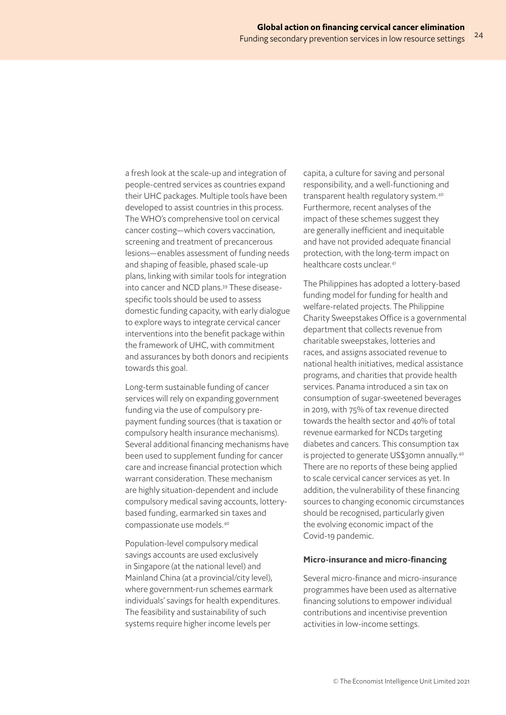a fresh look at the scale-up and integration of people-centred services as countries expand their UHC packages. Multiple tools have been developed to assist countries in this process. The WHO's comprehensive tool on cervical cancer costing—which covers vaccination, screening and treatment of precancerous lesions—enables assessment of funding needs and shaping of feasible, phased scale-up plans, linking with similar tools for integration into cancer and NCD plans.39 These diseasespecific tools should be used to assess domestic funding capacity, with early dialogue to explore ways to integrate cervical cancer interventions into the benefit package within the framework of UHC, with commitment and assurances by both donors and recipients towards this goal.

Long-term sustainable funding of cancer services will rely on expanding government funding via the use of compulsory prepayment funding sources (that is taxation or compulsory health insurance mechanisms). Several additional financing mechanisms have been used to supplement funding for cancer care and increase financial protection which warrant consideration. These mechanism are highly situation-dependent and include compulsory medical saving accounts, lotterybased funding, earmarked sin taxes and compassionate use models.40

Population-level compulsory medical savings accounts are used exclusively in Singapore (at the national level) and Mainland China (at a provincial/city level), where government-run schemes earmark individuals' savings for health expenditures. The feasibility and sustainability of such systems require higher income levels per

capita, a culture for saving and personal responsibility, and a well-functioning and transparent health regulatory system.40 Furthermore, recent analyses of the impact of these schemes suggest they are generally inefficient and inequitable and have not provided adequate financial protection, with the long-term impact on healthcare costs unclear.<sup>41</sup>

The Philippines has adopted a lottery-based funding model for funding for health and welfare-related projects. The Philippine Charity Sweepstakes Office is a governmental department that collects revenue from charitable sweepstakes, lotteries and races, and assigns associated revenue to national health initiatives, medical assistance programs, and charities that provide health services. Panama introduced a sin tax on consumption of sugar-sweetened beverages in 2019, with 75% of tax revenue directed towards the health sector and 40% of total revenue earmarked for NCDs targeting diabetes and cancers. This consumption tax is projected to generate US\$30mn annually.<sup>40</sup> There are no reports of these being applied to scale cervical cancer services as yet. In addition, the vulnerability of these financing sources to changing economic circumstances should be recognised, particularly given the evolving economic impact of the Covid-19 pandemic.

#### **Micro-insurance and micro-financing**

Several micro-finance and micro-insurance programmes have been used as alternative financing solutions to empower individual contributions and incentivise prevention activities in low-income settings.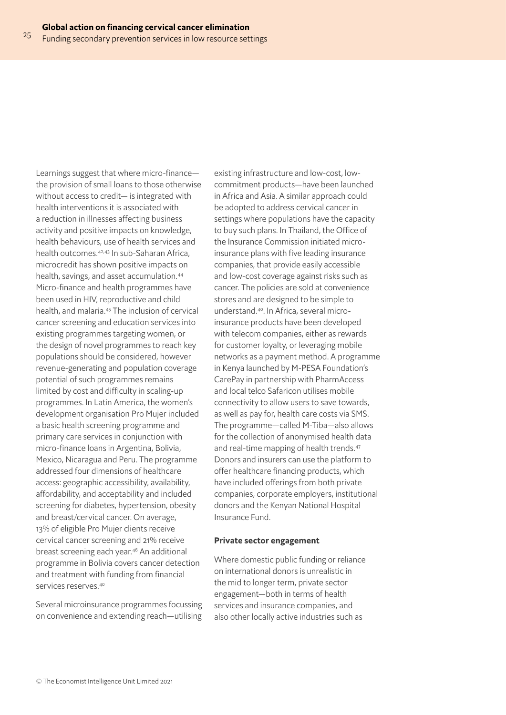Learnings suggest that where micro-finance the provision of small loans to those otherwise without access to credit— is integrated with health interventions it is associated with a reduction in illnesses afecting business activity and positive impacts on knowledge, health behaviours, use of health services and health outcomes.42,43 In sub-Saharan Africa, microcredit has shown positive impacts on health, savings, and asset accumulation.<sup>44</sup> Micro-finance and health programmes have been used in HIV, reproductive and child health, and malaria.45 The inclusion of cervical cancer screening and education services into existing programmes targeting women, or the design of novel programmes to reach key populations should be considered, however revenue-generating and population coverage potential of such programmes remains limited by cost and difficulty in scaling-up programmes. In Latin America, the women's development organisation Pro Mujer included a basic health screening programme and primary care services in conjunction with micro-finance loans in Argentina, Bolivia, Mexico, Nicaragua and Peru. The programme addressed four dimensions of healthcare access: geographic accessibility, availability, affordability, and acceptability and included screening for diabetes, hypertension, obesity and breast/cervical cancer. On average, 13% of eligible Pro Mujer clients receive cervical cancer screening and 21% receive breast screening each year.46 An additional programme in Bolivia covers cancer detection and treatment with funding from financial services reserves.<sup>40</sup>

Several microinsurance programmes focussing on convenience and extending reach—utilising existing infrastructure and low-cost, lowcommitment products—have been launched in Africa and Asia. A similar approach could be adopted to address cervical cancer in settings where populations have the capacity to buy such plans. In Thailand, the Office of the Insurance Commission initiated microinsurance plans with five leading insurance companies, that provide easily accessible and low-cost coverage against risks such as cancer. The policies are sold at convenience stores and are designed to be simple to understand.40. In Africa, several microinsurance products have been developed with telecom companies, either as rewards for customer loyalty, or leveraging mobile networks as a payment method. A programme in Kenya launched by M-PESA Foundation's CarePay in partnership with PharmAccess and local telco Safaricon utilises mobile connectivity to allow users to save towards, as well as pay for, health care costs via SMS. The programme—called M-Tiba—also allows for the collection of anonymised health data and real-time mapping of health trends.<sup>47</sup> Donors and insurers can use the platform to offer healthcare financing products, which have included offerings from both private companies, corporate employers, institutional donors and the Kenyan National Hospital Insurance Fund.

#### **Private sector engagement**

Where domestic public funding or reliance on international donors is unrealistic in the mid to longer term, private sector engagement—both in terms of health services and insurance companies, and also other locally active industries such as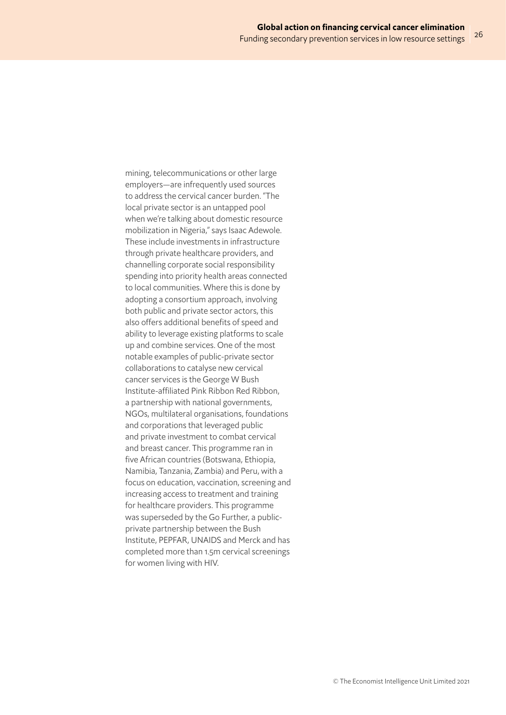mining, telecommunications or other large employers—are infrequently used sources to address the cervical cancer burden. "The local private sector is an untapped pool when we're talking about domestic resource mobilization in Nigeria," says Isaac Adewole. These include investments in infrastructure through private healthcare providers, and channelling corporate social responsibility spending into priority health areas connected to local communities. Where this is done by adopting a consortium approach, involving both public and private sector actors, this also offers additional benefits of speed and ability to leverage existing platforms to scale up and combine services. One of the most notable examples of public-private sector collaborations to catalyse new cervical cancer services is the George W Bush Institute-affiliated Pink Ribbon Red Ribbon, a partnership with national governments, NGOs, multilateral organisations, foundations and corporations that leveraged public and private investment to combat cervical and breast cancer. This programme ran in five African countries (Botswana, Ethiopia, Namibia, Tanzania, Zambia) and Peru, with a focus on education, vaccination, screening and increasing access to treatment and training for healthcare providers. This programme was superseded by the Go Further, a publicprivate partnership between the Bush Institute, PEPFAR, UNAIDS and Merck and has completed more than 1.5m cervical screenings for women living with HIV.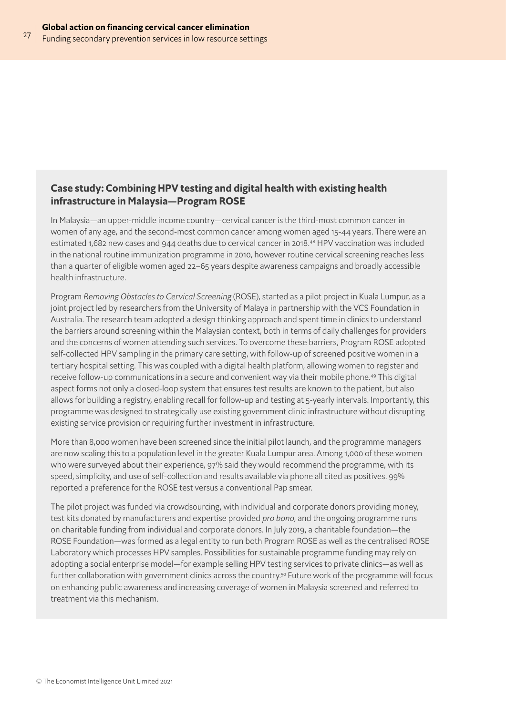## **Case study: Combining HPV testing and digital health with existing health infrastructure in Malaysia—Program ROSE**

In Malaysia—an upper-middle income country—cervical cancer is the third-most common cancer in women of any age, and the second-most common cancer among women aged 15-44 years. There were an estimated 1,682 new cases and 944 deaths due to cervical cancer in 2018.48 HPV vaccination was included in the national routine immunization programme in 2010, however routine cervical screening reaches less than a quarter of eligible women aged 22–65 years despite awareness campaigns and broadly accessible health infrastructure.

Program *Removing Obstacles to Cervical Screening* (ROSE), started as a pilot project in Kuala Lumpur, as a joint project led by researchers from the University of Malaya in partnership with the VCS Foundation in Australia. The research team adopted a design thinking approach and spent time in clinics to understand the barriers around screening within the Malaysian context, both in terms of daily challenges for providers and the concerns of women attending such services. To overcome these barriers, Program ROSE adopted self-collected HPV sampling in the primary care setting, with follow-up of screened positive women in a tertiary hospital setting. This was coupled with a digital health platform, allowing women to register and receive follow-up communications in a secure and convenient way via their mobile phone.49 This digital aspect forms not only a closed-loop system that ensures test results are known to the patient, but also allows for building a registry, enabling recall for follow-up and testing at 5-yearly intervals. Importantly, this programme was designed to strategically use existing government clinic infrastructure without disrupting existing service provision or requiring further investment in infrastructure.

More than 8,000 women have been screened since the initial pilot launch, and the programme managers are now scaling this to a population level in the greater Kuala Lumpur area. Among 1,000 of these women who were surveyed about their experience, 97% said they would recommend the programme, with its speed, simplicity, and use of self-collection and results available via phone all cited as positives. 99% reported a preference for the ROSE test versus a conventional Pap smear.

The pilot project was funded via crowdsourcing, with individual and corporate donors providing money, test kits donated by manufacturers and expertise provided *pro bono*, and the ongoing programme runs on charitable funding from individual and corporate donors. In July 2019, a charitable foundation—the ROSE Foundation—was formed as a legal entity to run both Program ROSE as well as the centralised ROSE Laboratory which processes HPV samples. Possibilities for sustainable programme funding may rely on adopting a social enterprise model—for example selling HPV testing services to private clinics—as well as further collaboration with government clinics across the country.<sup>50</sup> Future work of the programme will focus on enhancing public awareness and increasing coverage of women in Malaysia screened and referred to treatment via this mechanism.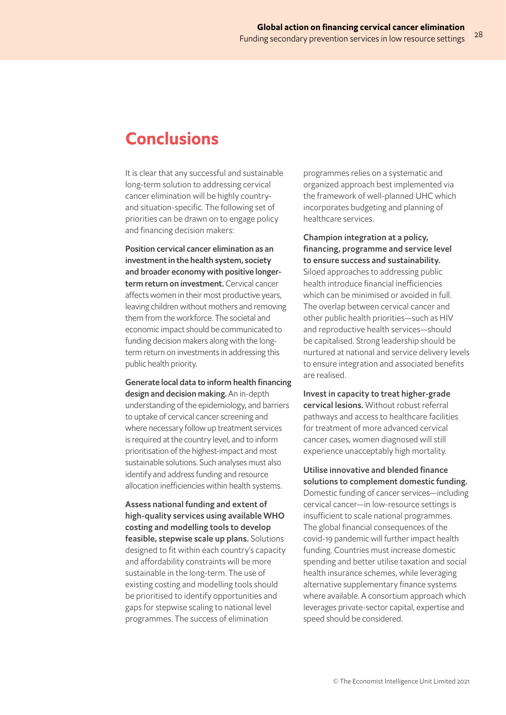## **Conclusions**

It is clear that any successful and sustainable long-term solution to addressing cervical cancer elimination will be highly countryand situation-specific. The following set of priorities can be drawn on to engage policy and financing decision makers:

Position cervical cancer elimination as an investment in the health system, society and broader economy with positive longerterm return on investment. Cervical cancer afects women in their most productive years, leaving children without mothers and removing them from the workforce. The societal and economic impact should be communicated to funding decision makers along with the longterm return on investments in addressing this public health priority.

Generate local data to inform health financing design and decision making. An in-depth understanding of the epidemiology, and barriers to uptake of cervical cancer screening and where necessary follow up treatment services is required at the country level, and to inform prioritisation of the highest-impact and most sustainable solutions. Such analyses must also identify and address funding and resource allocation inefficiencies within health systems.

Assess national funding and extent of high-quality services using available WHO costing and modelling tools to develop feasible, stepwise scale up plans. Solutions designed to fit within each country's capacity and affordability constraints will be more sustainable in the long-term. The use of existing costing and modelling tools should be prioritised to identify opportunities and gaps for stepwise scaling to national level programmes. The success of elimination

programmes relies on a systematic and organized approach best implemented via the framework of well-planned UHC which incorporates budgeting and planning of healthcare services.

Champion integration at a policy, financing, programme and service level to ensure success and sustainability. Siloed approaches to addressing public health introduce financial inefficiencies which can be minimised or avoided in full. The overlap between cervical cancer and other public health priorities—such as HIV and reproductive health services—should be capitalised. Strong leadership should be nurtured at national and service delivery levels to ensure integration and associated benefits are realised.

Invest in capacity to treat higher-grade cervical lesions. Without robust referral pathways and access to healthcare facilities for treatment of more advanced cervical cancer cases, women diagnosed will still experience unacceptably high mortality.

Utilise innovative and blended finance solutions to complement domestic funding. Domestic funding of cancer services—including cervical cancer—in low-resource settings is insufficient to scale national programmes. The global financial consequences of the covid-19 pandemic will further impact health funding. Countries must increase domestic spending and better utilise taxation and social health insurance schemes, while leveraging alternative supplementary finance systems where available. A consortium approach which leverages private-sector capital, expertise and speed should be considered.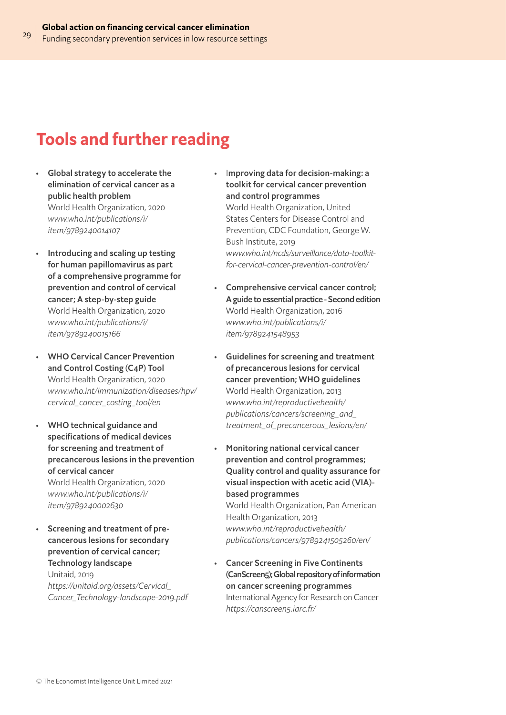## **Tools and further reading**

- Global strategy to accelerate the elimination of cervical cancer as a public health problem World Health Organization, 2020 *www.who.int/publications/i/ item/9789240014107*
- Introducing and scaling up testing for human papillomavirus as part of a comprehensive programme for prevention and control of cervical cancer; A step-by-step guide World Health Organization, 2020  *www.who.int/publications/i/ item/9789240015166*
- WHO Cervical Cancer Prevention and Control Costing (C4P) Tool World Health Organization, 2020  *www.who.int/immunization/diseases/hpv/ cervical\_cancer\_costing\_tool/en*
- WHO technical guidance and specifications of medical devices for screening and treatment of precancerous lesions in the prevention of cervical cancer World Health Organization, 2020  *www.who.int/publications/i/ item/9789240002630*
- Screening and treatment of precancerous lesions for secondary prevention of cervical cancer; Technology landscape Unitaid, 2019  *https://unitaid.org/assets/Cervical\_ Cancer\_Technology-landscape-2019.pdf*

• Improving data for decision-making: a toolkit for cervical cancer prevention and control programmes World Health Organization, United

States Centers for Disease Control and Prevention, CDC Foundation, George W. Bush Institute, 2019  *www.who.int/ncds/surveillance/data-toolkitfor-cervical-cancer-prevention-control/en/* 

- Comprehensive cervical cancer control; A guide to essential practice - Second edition World Health Organization, 2016  *www.who.int/publications/i/ item/9789241548953*
- Guidelines for screening and treatment of precancerous lesions for cervical cancer prevention; WHO guidelines World Health Organization, 2013  *www.who.int/reproductivehealth/ publications/cancers/screening\_and\_ treatment\_of\_precancerous\_lesions/en/*
- Monitoring national cervical cancer prevention and control programmes; Quality control and quality assurance for visual inspection with acetic acid (VIA) based programmes World Health Organization, Pan American Health Organization, 2013  *www.who.int/reproductivehealth/ publications/cancers/9789241505260/en/*
- **Cancer Screening in Five Continents** (CanScreen5); Global repository of information on cancer screening programmes International Agency for Research on Cancer *https://canscreen5.iarc.fr/*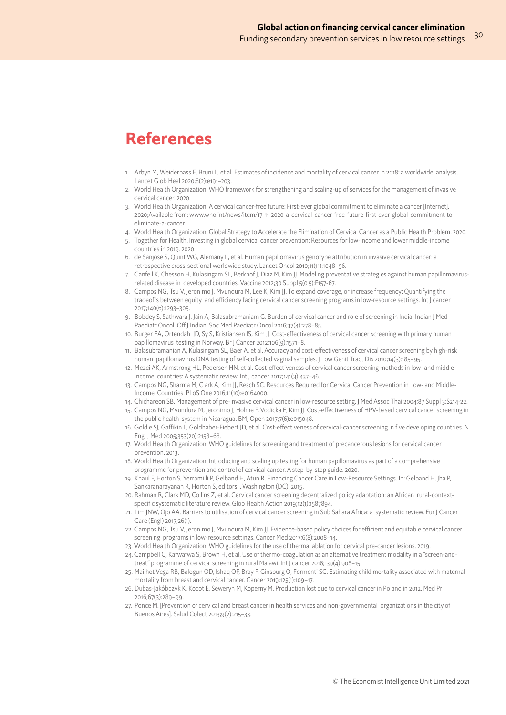## **References**

- 1. Arbyn M, Weiderpass E, Bruni L, et al. Estimates of incidence and mortality of cervical cancer in 2018: a worldwide analysis. Lancet Glob Heal 2020;8(2):e191–203.
- 2. World Health Organization. WHO framework for strengthening and scaling-up of services for the management of invasive cervical cancer. 2020.
- 3. World Health Organization. A cervical cancer-free future: First-ever global commitment to eliminate a cancer [Internet]. 2020;Available from: www.who.int/news/item/17-11-2020-a-cervical-cancer-free-future-first-ever-global-commitment-toeliminate-a-cancer
- 4. World Health Organization. Global Strategy to Accelerate the Elimination of Cervical Cancer as a Public Health Problem. 2020.
- 5. Together for Health. Investing in global cervical cancer prevention: Resources for low-income and lower middle-income countries in 2019. 2020.
- 6. de Sanjose S, Quint WG, Alemany L, et al. Human papillomavirus genotype attribution in invasive cervical cancer: a retrospective cross-sectional worldwide study. Lancet Oncol 2010;11(11):1048–56.
- 7. Canfell K, Chesson H, Kulasingam SL, Berkhof J, Diaz M, Kim JJ. Modeling preventative strategies against human papillomavirusrelated disease in developed countries. Vaccine 2012;30 Suppl 5(0 5):F157-67.
- 8. Campos NG, Tsu V, Jeronimo J, Mvundura M, Lee K, Kim JJ. To expand coverage, or increase frequency: Quantifying the tradeoffs between equity and efficiency facing cervical cancer screening programs in low-resource settings. Int J cancer 2017;140(6):1293–305.
- 9. Bobdey S, Sathwara J, Jain A, Balasubramaniam G. Burden of cervical cancer and role of screening in India. Indian J Med Paediatr Oncol Off J Indian Soc Med Paediatr Oncol 2016;37(4):278-85.
- 10. Burger EA, Ortendahl JD, Sy S, Kristiansen IS, Kim JJ. Cost-effectiveness of cervical cancer screening with primary human papillomavirus testing in Norway. Br J Cancer 2012;106(9):1571–8.
- 11. Balasubramanian A, Kulasingam SL, Baer A, et al. Accuracy and cost-efectiveness of cervical cancer screening by high-risk human papillomavirus DNA testing of self-collected vaginal samples. J Low Genit Tract Dis 2010;14(3):185–95.
- 12. Mezei AK, Armstrong HL, Pedersen HN, et al. Cost-efectiveness of cervical cancer screening methods in low- and middleincome countries: A systematic review. Int J cancer 2017;141(3):437–46.
- 13. Campos NG, Sharma M, Clark A, Kim JJ, Resch SC. Resources Required for Cervical Cancer Prevention in Low- and Middle-Income Countries. PLoS One 2016;11(10):e0164000.
- 14. Chichareon SB. Management of pre-invasive cervical cancer in low-resource setting. J Med Assoc Thai 2004;87 Suppl 3:S214-22.
- 15. Campos NG, Mvundura M, Jeronimo J, Holme F, Vodicka E, Kim JJ. Cost-efectiveness of HPV-based cervical cancer screening in the public health system in Nicaragua. BMJ Open 2017;7(6):e015048.
- 16. Goldie SJ, Gaffikin L, Goldhaber-Fiebert JD, et al. Cost-effectiveness of cervical-cancer screening in five developing countries. N Engl J Med 2005;353(20):2158–68.
- 17. World Health Organization. WHO guidelines for screening and treatment of precancerous lesions for cervical cancer prevention. 2013.
- 18. World Health Organization. Introducing and scaling up testing for human papillomavirus as part of a comprehensive programme for prevention and control of cervical cancer. A step-by-step guide. 2020.
- 19. Knaul F, Horton S, Yerramilli P, Gelband H, Atun R. Financing Cancer Care in Low-Resource Settings. In: Gelband H, Jha P, Sankaranarayanan R, Horton S, editors. . Washington (DC): 2015.
- 20. Rahman R, Clark MD, Collins Z, et al. Cervical cancer screening decentralized policy adaptation: an African rural-contextspecific systematic literature review. Glob Health Action 2019;12(1):1587894.
- 21. Lim JNW, Ojo AA. Barriers to utilisation of cervical cancer screening in Sub Sahara Africa: a systematic review. Eur J Cancer Care (Engl) 2017;26(1).
- 22. Campos NG, Tsu V, Jeronimo J, Myundura M, Kim JJ. Evidence-based policy choices for efficient and equitable cervical cancer screening programs in low-resource settings. Cancer Med 2017;6(8):2008–14.
- 23. World Health Organization. WHO guidelines for the use of thermal ablation for cervical pre-cancer lesions. 2019.
- 24. Campbell C, Kafwafwa S, Brown H, et al. Use of thermo-coagulation as an alternative treatment modality in a "screen-andtreat" programme of cervical screening in rural Malawi. Int J cancer 2016;139(4):908–15.
- 25. Mailhot Vega RB, Balogun OD, Ishaq OF, Bray F, Ginsburg O, Formenti SC. Estimating child mortality associated with maternal mortality from breast and cervical cancer. Cancer 2019;125(1):109–17.
- 26. Dubas-Jakóbczyk K, Kocot E, Seweryn M, Koperny M. Production lost due to cervical cancer in Poland in 2012. Med Pr 2016;67(3):289–99.
- 27. Ponce M. [Prevention of cervical and breast cancer in health services and non-governmental organizations in the city of Buenos Aires]. Salud Colect 2013;9(2):215–33.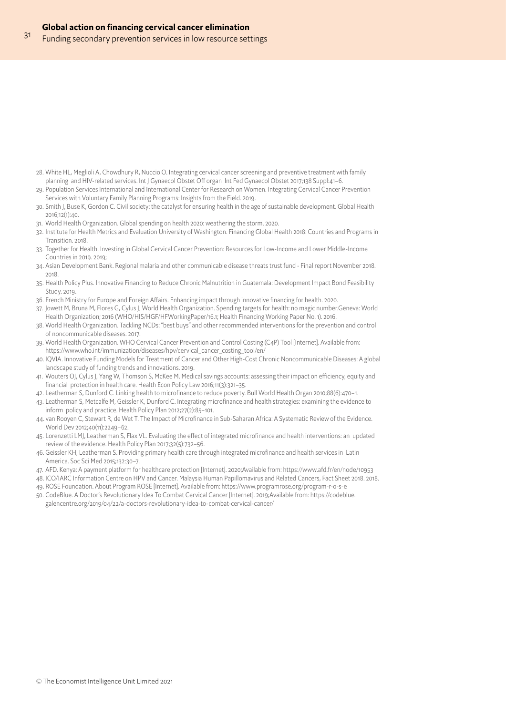### **Global action on financing cervical cancer elimination**

31 Funding secondary prevention services in low resource settings

- 28. White HL, Meglioli A, Chowdhury R, Nuccio O. Integrating cervical cancer screening and preventive treatment with family planning and HIV-related services. Int J Gynaecol Obstet Off organ Int Fed Gynaecol Obstet 2017;138 Suppl:41-6.
- 29. Population Services International and International Center for Research on Women. Integrating Cervical Cancer Prevention Services with Voluntary Family Planning Programs: Insights from the Field. 2019.
- 30. Smith J, Buse K, Gordon C. Civil society: the catalyst for ensuring health in the age of sustainable development. Global Health 2016;12(1):40.
- 31. World Health Organization. Global spending on health 2020: weathering the storm. 2020.
- 32. Institute for Health Metrics and Evaluation University of Washington. Financing Global Health 2018: Countries and Programs in Transition. 2018.
- 33. Together for Health. Investing in Global Cervical Cancer Prevention: Resources for Low-Income and Lower Middle-Income Countries in 2019. 2019;
- 34. Asian Development Bank. Regional malaria and other communicable disease threats trust fund Final report November 2018. 2018.
- 35. Health Policy Plus. Innovative Financing to Reduce Chronic Malnutrition in Guatemala: Development Impact Bond Feasibility Study. 2019.
- 36. French Ministry for Europe and Foreign Afairs. Enhancing impact through innovative financing for health. 2020.
- 37. Jowett M, Bruna M, Flores G, Cylus J, World Health Organization. Spending targets for health: no magic number.Geneva: World Health Organization; 2016 (WHO/HIS/HGF/HFWorkingPaper/16.1; Health Financing Working Paper No. 1). 2016.
- 38. World Health Organization. Tackling NCDs: "best buys" and other recommended interventions for the prevention and control of noncommunicable diseases. 2017.
- 39. World Health Organization. WHO Cervical Cancer Prevention and Control Costing (C4P) Tool [Internet]. Available from: https://www.who.int/immunization/diseases/hpv/cervical\_cancer\_costing\_tool/en/
- 40. IQVIA. Innovative Funding Models for Treatment of Cancer and Other High-Cost Chronic Noncommunicable Diseases: A global landscape study of funding trends and innovations. 2019.
- 41. Wouters OJ, Cylus J, Yang W, Thomson S, McKee M. Medical savings accounts: assessing their impact on efficiency, equity and financial protection in health care. Health Econ Policy Law 2016;11(3):321–35.
- 42. Leatherman S, Dunford C. Linking health to microfinance to reduce poverty. Bull World Health Organ 2010;88(6):470–1.
- 43. Leatherman S, Metcalfe M, Geissler K, Dunford C. Integrating microfinance and health strategies: examining the evidence to inform policy and practice. Health Policy Plan 2012;27(2):85–101.
- 44. van Rooyen C, Stewart R, de Wet T. The Impact of Microfinance in Sub-Saharan Africa: A Systematic Review of the Evidence. World Dev 2012;40(11):2249–62.
- 45. Lorenzetti LMJ, Leatherman S, Flax VL. Evaluating the efect of integrated microfinance and health interventions: an updated review of the evidence. Health Policy Plan 2017;32(5):732–56.
- 46. Geissler KH, Leatherman S. Providing primary health care through integrated microfinance and health services in Latin America. Soc Sci Med 2015;132:30–7.
- 47. AFD. Kenya: A payment platform for healthcare protection [Internet]. 2020;Available from: https://www.afd.fr/en/node/10953
- 48. ICO/IARC Information Centre on HPV and Cancer. Malaysia Human Papillomavirus and Related Cancers, Fact Sheet 2018. 2018.
- 49. ROSE Foundation. About Program ROSE [Internet]. Available from: https://www.programrose.org/program-r-o-s-e
- 50. CodeBlue. A Doctor's Revolutionary Idea To Combat Cervical Cancer [Internet]. 2019;Available from: https://codeblue. galencentre.org/2019/04/22/a-doctors-revolutionary-idea-to-combat-cervical-cancer/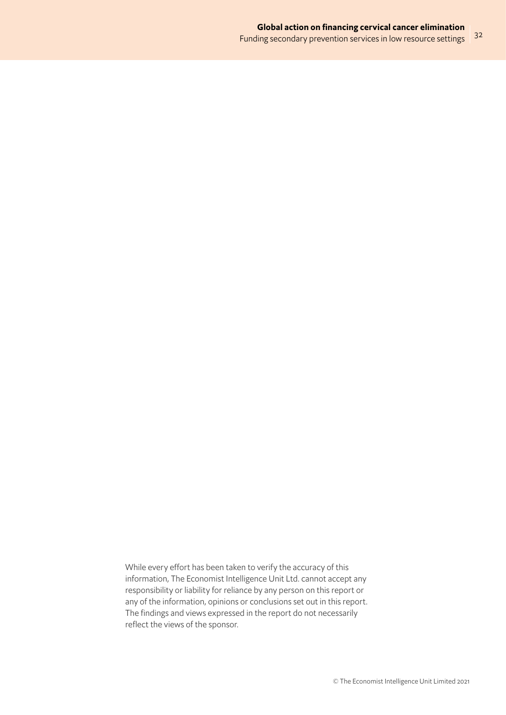Funding secondary prevention services in low resource settings

While every effort has been taken to verify the accuracy of this information, The Economist Intelligence Unit Ltd. cannot accept any responsibility or liability for reliance by any person on this report or any of the information, opinions or conclusions set out in this report. The findings and views expressed in the report do not necessarily reflect the views of the sponsor.